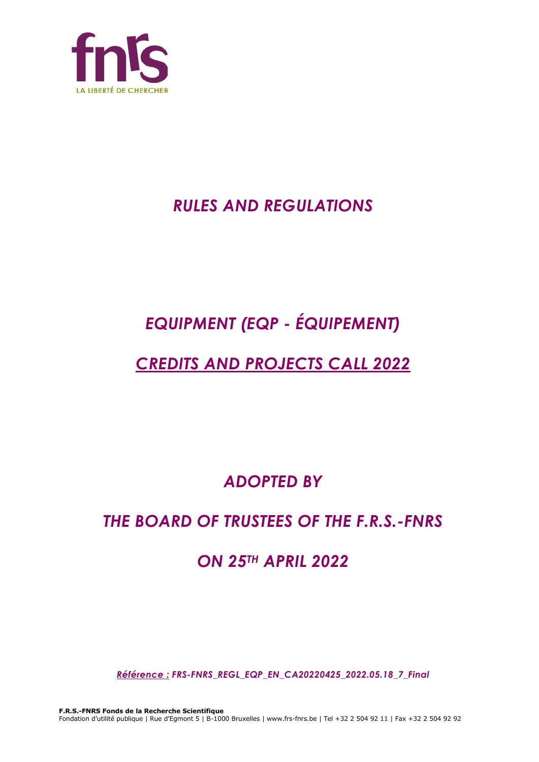

# *RULES AND REGULATIONS*

# *EQUIPMENT (EQP - ÉQUIPEMENT)*

# *CREDITS AND PROJECTS CALL 2022*

*ADOPTED BY*

# *THE BOARD OF TRUSTEES OF THE F.R.S.-FNRS*

# *ON 25TH APRIL 2022*

*Référence : FRS-FNRS\_REGL\_EQP\_EN\_CA20220425\_2022.05.18\_7\_Final*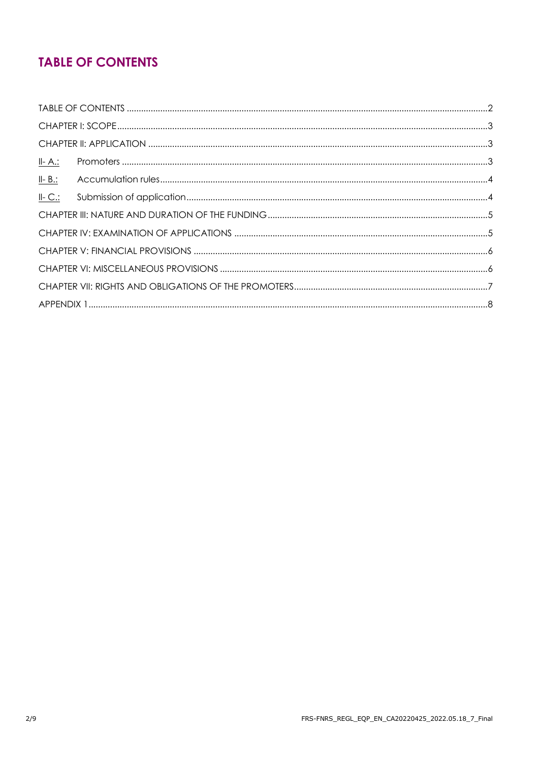# **TABLE OF CONTENTS**

| <u>II- A.:</u> |  |
|----------------|--|
| $II - B$ .:    |  |
| $II-C.$        |  |
|                |  |
|                |  |
|                |  |
|                |  |
|                |  |
|                |  |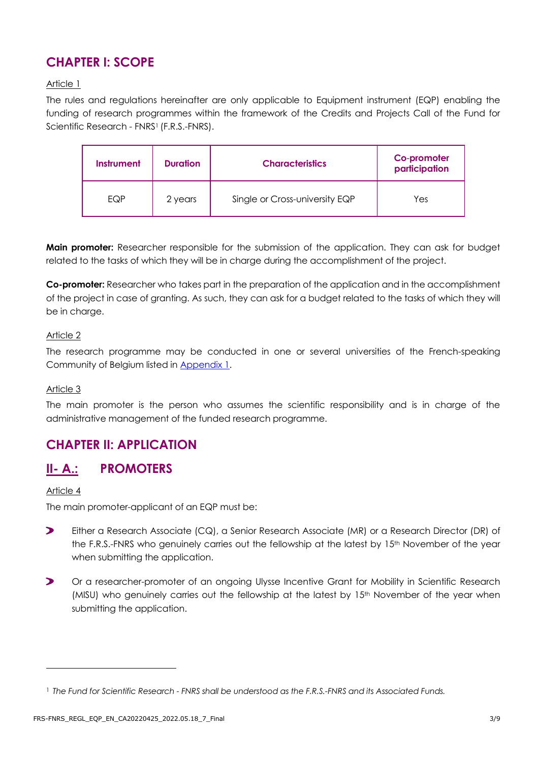# **CHAPTER I: SCOPE**

#### Article 1

The rules and regulations hereinafter are only applicable to Equipment instrument (EQP) enabling the funding of research programmes within the framework of the Credits and Projects Call of the Fund for Scientific Research - FNRS<sup>1</sup> (F.R.S.-FNRS).

| <b>Instrument</b> | <b>Duration</b> | <b>Characteristics</b>         | Co-promoter<br>participation |
|-------------------|-----------------|--------------------------------|------------------------------|
| EQP               | 2 years         | Single or Cross-university EQP | Yes                          |

**Main promoter:** Researcher responsible for the submission of the application. They can ask for budget related to the tasks of which they will be in charge during the accomplishment of the project.

**Co-promoter:** Researcher who takes part in the preparation of the application and in the accomplishment of the project in case of granting. As such, they can ask for a budget related to the tasks of which they will be in charge.

#### Article 2

The research programme may be conducted in one or several universities of the French-speaking Community of Belgium listed in [Appendix](#page-7-0) 1.

#### Article 3

The main promoter is the person who assumes the scientific responsibility and is in charge of the administrative management of the funded research programme.

# **CHAPTER II: APPLICATION**

## **II- A.: PROMOTERS**

#### Article 4

The main promoter-applicant of an EQP must be:

- $\blacktriangleright$ Either a Research Associate (CQ), a Senior Research Associate (MR) or a Research Director (DR) of the F.R.S.-FNRS who genuinely carries out the fellowship at the latest by 15<sup>th</sup> November of the year when submitting the application.
- $\blacktriangleright$ Or a researcher-promoter of an ongoing Ulysse Incentive Grant for Mobility in Scientific Research (MISU) who genuinely carries out the fellowship at the latest by 15<sup>th</sup> November of the year when submitting the application.

<sup>1</sup> *The Fund for Scientific Research - FNRS shall be understood as the F.R.S.-FNRS and its Associated Funds.*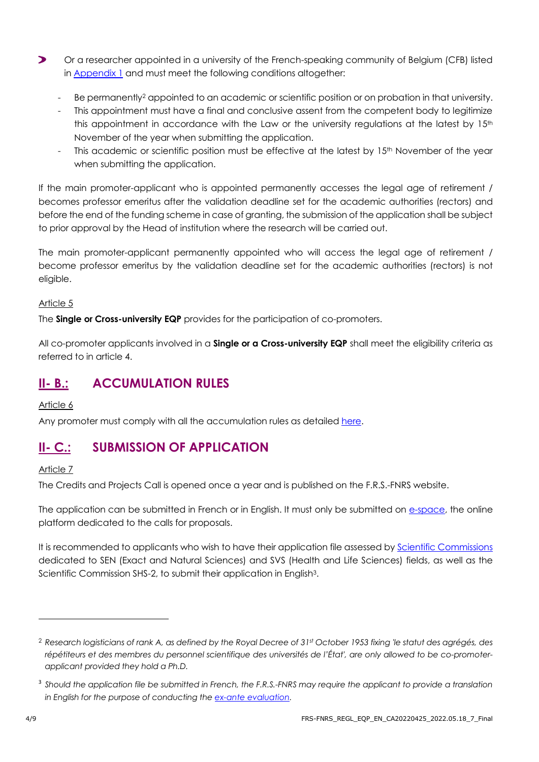- $\blacktriangleright$ Or a researcher appointed in a university of the French-speaking community of Belgium (CFB) listed in [Appendix 1](#page-7-0) and must meet the following conditions altogether:
	- Be permanently<sup>2</sup> appointed to an academic or scientific position or on probation in that university.
	- This appointment must have a final and conclusive assent from the competent body to legitimize this appointment in accordance with the Law or the university requlations at the latest by  $15<sup>th</sup>$ November of the year when submitting the application.
	- This academic or scientific position must be effective at the latest by 15<sup>th</sup> November of the year when submitting the application.

If the main promoter-applicant who is appointed permanently accesses the legal age of retirement / becomes professor emeritus after the validation deadline set for the academic authorities (rectors) and before the end of the funding scheme in case of granting, the submission of the application shall be subject to prior approval by the Head of institution where the research will be carried out.

The main promoter-applicant permanently appointed who will access the legal age of retirement / become professor emeritus by the validation deadline set for the academic authorities (rectors) is not eligible.

#### Article 5

The **Single or Cross-university EQP** provides for the participation of co-promoters.

All co-promoter applicants involved in a **Single or a Cross-university EQP** shall meet the eligibility criteria as referred to in article 4.

# **II- B.: ACCUMULATION RULES**

Article 6

Any promoter must comply with all the accumulation rules as detailed [here.](https://www.frs-fnrs.be/docs/Reglement-et-documents/Regles-cumul.pdf)

# **II- C.: SUBMISSION OF APPLICATION**

#### Article 7

The Credits and Projects Call is opened once a year and is published on the F.R.S.-FNRS website.

The application can be submitted in French or in English. It must only be submitted on [e-space,](https://e-space.frs-fnrs.be/) the online platform dedicated to the calls for proposals.

It is recommended to applicants who wish to have their application file assessed by **Scientific Commissions** dedicated to SEN (Exact and Natural Sciences) and SVS (Health and Life Sciences) fields, as well as the Scientific Commission SHS-2, to submit their application in English<sup>3</sup>.

<sup>2</sup> *Research logisticians of rank A, as defined by the Royal Decree of 31st October 1953 fixing 'le statut des agrégés, des répétiteurs et des membres du personnel scientifique des universités de l'État', are only allowed to be co-promoterapplicant provided they hold a Ph.D.*

<sup>3</sup> *Should the application file be submitted in French, the F.R.S.-FNRS may require the applicant to provide a translation in English for the purpose of conducting the [ex-ante evaluation.](https://www.frs-fnrs.be/docs/Reglement-et-documents/FRS-FNRS_Guide_Evaluation_EN.pdf)*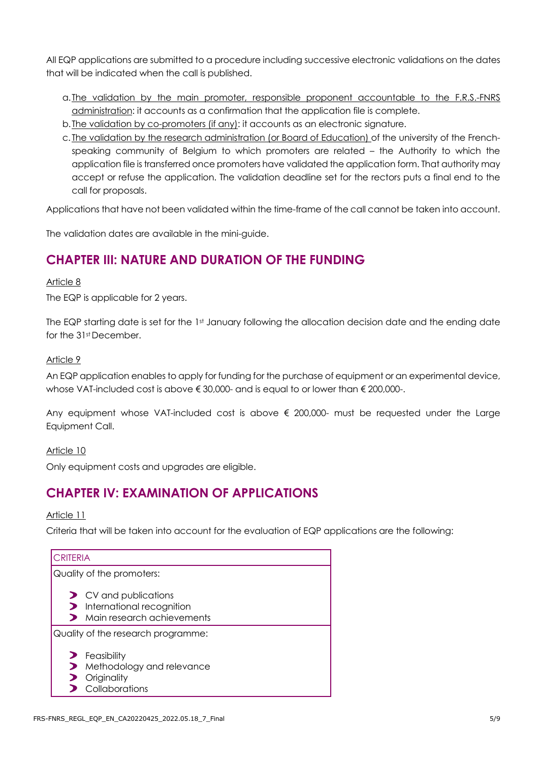All EQP applications are submitted to a procedure including successive electronic validations on the dates that will be indicated when the call is published.

- a.The validation by the main promoter, responsible proponent accountable to the F.R.S.-FNRS administration: it accounts as a confirmation that the application file is complete.
- b.The validation by co-promoters (if any): it accounts as an electronic signature.
- c. The validation by the research administration (or Board of Education) of the university of the Frenchspeaking community of Belgium to which promoters are related – the Authority to which the application file is transferred once promoters have validated the application form. That authority may accept or refuse the application. The validation deadline set for the rectors puts a final end to the call for proposals.

Applications that have not been validated within the time-frame of the call cannot be taken into account.

The validation dates are available in the mini-guide.

# **CHAPTER III: NATURE AND DURATION OF THE FUNDING**

#### Article 8

The EQP is applicable for 2 years.

The EQP starting date is set for the 1st January following the allocation decision date and the ending date for the 31st December.

#### Article 9

An EQP application enables to apply for funding for the purchase of equipment or an experimental device, whose VAT-included cost is above € 30,000- and is equal to or lower than € 200,000-.

Any equipment whose VAT-included cost is above  $\epsilon$  200,000- must be requested under the Large Equipment Call.

Article 10

Only equipment costs and upgrades are eligible.

## **CHAPTER IV: EXAMINATION OF APPLICATIONS**

Article 11

Criteria that will be taken into account for the evaluation of EQP applications are the following:

| <b>CRITERIA</b>                                                                                   |  |  |
|---------------------------------------------------------------------------------------------------|--|--|
| Quality of the promoters:                                                                         |  |  |
| $\triangleright$ CV and publications<br>> International recognition<br>Main research achievements |  |  |
| Quality of the research programme:                                                                |  |  |
| $\blacktriangleright$ Feasibility<br>Methodology and relevance<br>Originality<br>Collaborations   |  |  |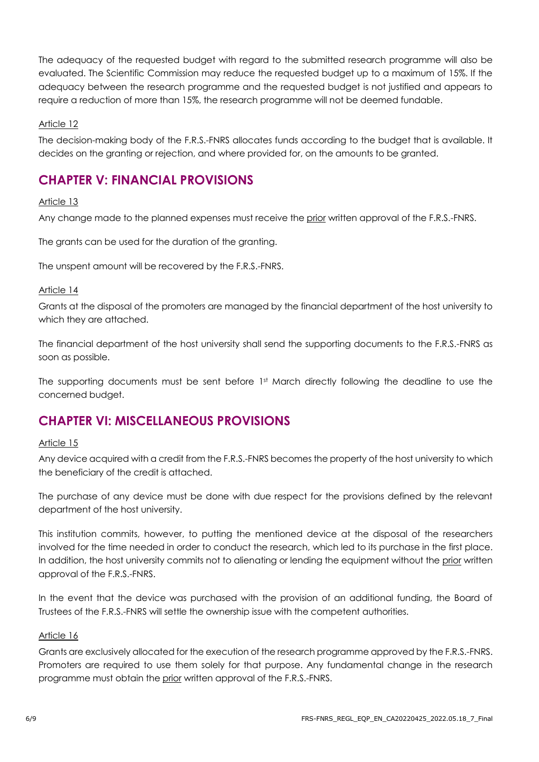The adequacy of the requested budget with regard to the submitted research programme will also be evaluated. The Scientific Commission may reduce the requested budget up to a maximum of 15%. If the adequacy between the research programme and the requested budget is not justified and appears to require a reduction of more than 15%, the research programme will not be deemed fundable.

#### Article 12

The decision-making body of the F.R.S.-FNRS allocates funds according to the budget that is available. It decides on the granting or rejection, and where provided for, on the amounts to be granted.

## **CHAPTER V: FINANCIAL PROVISIONS**

#### Article 13

Any change made to the planned expenses must receive the prior written approval of the F.R.S.-FNRS.

The grants can be used for the duration of the granting.

The unspent amount will be recovered by the F.R.S.-FNRS.

#### Article 14

Grants at the disposal of the promoters are managed by the financial department of the host university to which they are attached.

The financial department of the host university shall send the supporting documents to the F.R.S.-FNRS as soon as possible.

The supporting documents must be sent before 1st March directly following the deadline to use the concerned budget.

## **CHAPTER VI: MISCELLANEOUS PROVISIONS**

#### Article 15

Any device acquired with a credit from the F.R.S.-FNRS becomes the property of the host university to which the beneficiary of the credit is attached.

The purchase of any device must be done with due respect for the provisions defined by the relevant department of the host university.

This institution commits, however, to putting the mentioned device at the disposal of the researchers involved for the time needed in order to conduct the research, which led to its purchase in the first place. In addition, the host university commits not to alienating or lending the equipment without the prior written approval of the F.R.S.-FNRS.

In the event that the device was purchased with the provision of an additional funding, the Board of Trustees of the F.R.S.-FNRS will settle the ownership issue with the competent authorities.

#### Article 16

Grants are exclusively allocated for the execution of the research programme approved by the F.R.S.-FNRS. Promoters are required to use them solely for that purpose. Any fundamental change in the research programme must obtain the prior written approval of the F.R.S.-FNRS.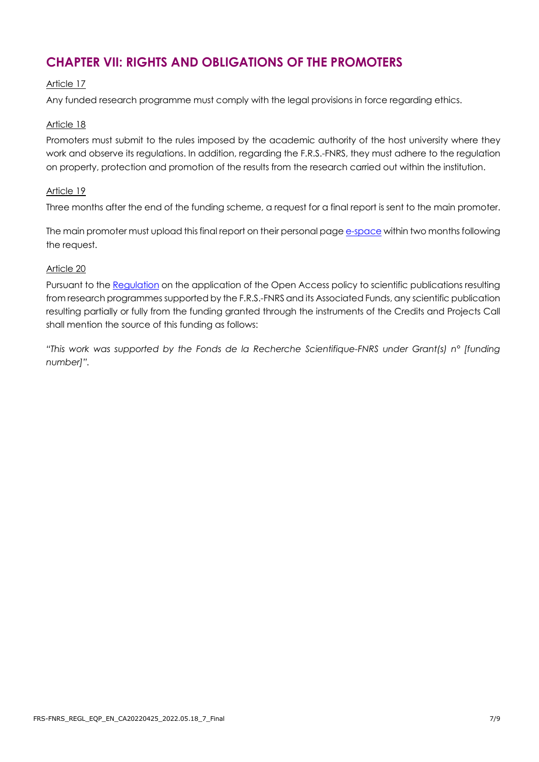# **CHAPTER VII: RIGHTS AND OBLIGATIONS OF THE PROMOTERS**

#### Article 17

Any funded research programme must comply with the legal provisions in force regarding ethics.

#### Article 18

Promoters must submit to the rules imposed by the academic authority of the host university where they work and observe its regulations. In addition, regarding the F.R.S.-FNRS, they must adhere to the regulation on property, protection and promotion of the results from the research carried out within the institution.

#### Article 19

Three months after the end of the funding scheme, a request for a final report is sent to the main promoter.

The main promoter must upload this final report on their personal page [e-space](https://e-space.frs-fnrs.be/) within two months following the request.

#### Article 20

Pursuant to the [Regulation](https://www.frs-fnrs.be/en/docs/Reglement_OPEN_ACCESS_EN.pdf) on the application of the Open Access policy to scientific publications resulting from research programmes supported by the F.R.S.-FNRS and its Associated Funds, any scientific publication resulting partially or fully from the funding granted through the instruments of the Credits and Projects Call shall mention the source of this funding as follows:

*"This work was supported by the Fonds de la Recherche Scientifique-FNRS under Grant(s) n° [funding number]".*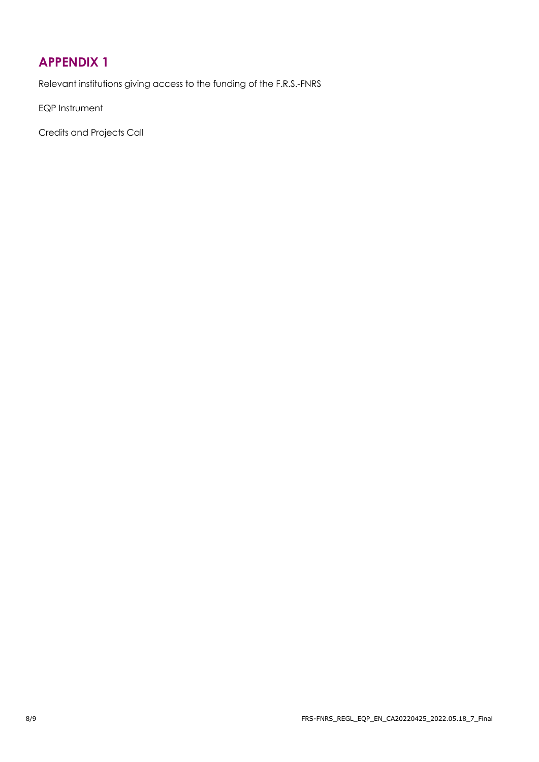# <span id="page-7-0"></span>**APPENDIX 1**

Relevant institutions giving access to the funding of the F.R.S.-FNRS

EQP Instrument

Credits and Projects Call